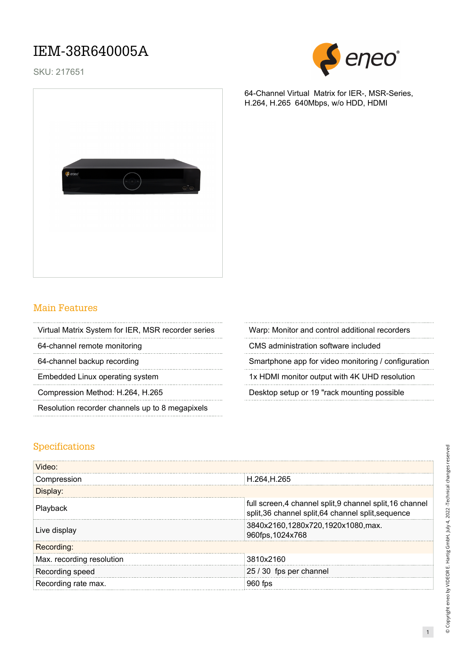## IEM-38R640005A

SKU: 217651



64-Channel Virtual Matrix for IER-, MSR-Series,

H.264, H.265 640Mbps, w/o HDD, HDMI



### Main Features

Virtual Matrix System for IER, MSR recorder series Warp: Monitor and control additional recorders

Resolution recorder channels up to 8 megapixels

64-channel remote monitoring CMS administration software included

64-channel backup recording example app for video monitoring / configuration

Embedded Linux operating system 1x HDMI monitor output with 4K UHD resolution

Compression Method: H.264, H.265 Desktop setup or 19 "rack mounting possible

#### Specifications

| Video:                    |                                                                                                               |  |  |
|---------------------------|---------------------------------------------------------------------------------------------------------------|--|--|
| Compression               | H.264, H.265                                                                                                  |  |  |
| Displav:                  |                                                                                                               |  |  |
| Playback                  | full screen, 4 channel split, 9 channel split, 16 channel<br>split,36 channel split,64 channel split,sequence |  |  |
| Live display              | 3840x2160,1280x720,1920x1080,max.<br>960fps, 1024x768                                                         |  |  |
| Recording:                |                                                                                                               |  |  |
| Max. recording resolution | 3810x2160                                                                                                     |  |  |
| Recording speed           | 25 / 30 fps per channel                                                                                       |  |  |
| Recording rate max.       |                                                                                                               |  |  |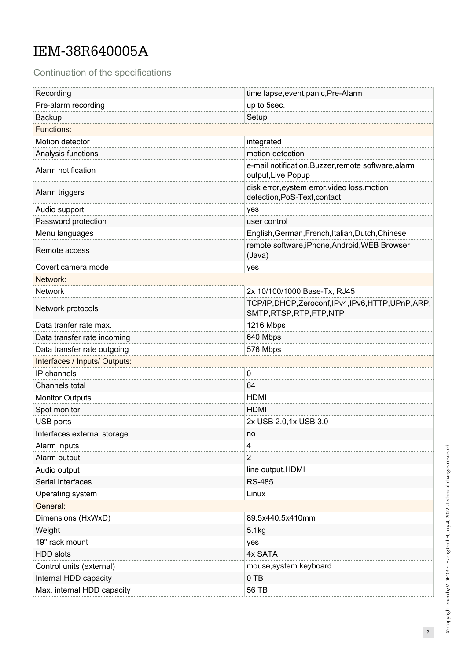# IEM-38R640005A

Continuation of the specifications

| Recording                     | time lapse, event, panic, Pre-Alarm                                               |  |
|-------------------------------|-----------------------------------------------------------------------------------|--|
| Pre-alarm recording           | up to 5sec.                                                                       |  |
| Backup                        | Setup                                                                             |  |
| <b>Functions:</b>             |                                                                                   |  |
| Motion detector               | integrated                                                                        |  |
| Analysis functions            | motion detection                                                                  |  |
| Alarm notification            | e-mail notification, Buzzer, remote software, alarm<br>output, Live Popup         |  |
| Alarm triggers                | disk error, eystem error, video loss, motion<br>detection, PoS-Text, contact      |  |
| Audio support                 | yes                                                                               |  |
| Password protection           | user control                                                                      |  |
| Menu languages                | English, German, French, Italian, Dutch, Chinese                                  |  |
| Remote access                 | remote software, iPhone, Android, WEB Browser<br>(Java)                           |  |
| Covert camera mode            | yes                                                                               |  |
| Network:                      |                                                                                   |  |
| Network                       | 2x 10/100/1000 Base-Tx, RJ45                                                      |  |
| Network protocols             | TCP/IP, DHCP, Zeroconf, IPv4, IPv6, HTTP, UPnP, ARP,<br>SMTP, RTSP, RTP, FTP, NTP |  |
| Data tranfer rate max.        | 1216 Mbps                                                                         |  |
| Data transfer rate incoming   | 640 Mbps                                                                          |  |
| Data transfer rate outgoing   | 576 Mbps                                                                          |  |
| Interfaces / Inputs/ Outputs: |                                                                                   |  |
| IP channels                   | 0                                                                                 |  |
| Channels total                | 64                                                                                |  |
| <b>Monitor Outputs</b>        | <b>HDMI</b>                                                                       |  |
| Spot monitor                  | <b>HDMI</b>                                                                       |  |
| USB ports                     | 2x USB 2.0, 1x USB 3.0                                                            |  |
| Interfaces external storage   | no                                                                                |  |
| Alarm inputs                  | 4                                                                                 |  |
| Alarm output                  | 2                                                                                 |  |
| Audio output                  | line output, HDMI                                                                 |  |
| Serial interfaces             | <b>RS-485</b>                                                                     |  |
| Operating system              | Linux                                                                             |  |
| General:                      |                                                                                   |  |
| Dimensions (HxWxD)            | 89.5x440.5x410mm                                                                  |  |
| Weight                        | 5.1kg                                                                             |  |
| 19" rack mount                | yes                                                                               |  |
| HDD slots                     | 4x SATA                                                                           |  |
| Control units (external)      | mouse, system keyboard                                                            |  |
| Internal HDD capacity         | $0$ TB                                                                            |  |
| Max. internal HDD capacity    | 56 TB                                                                             |  |